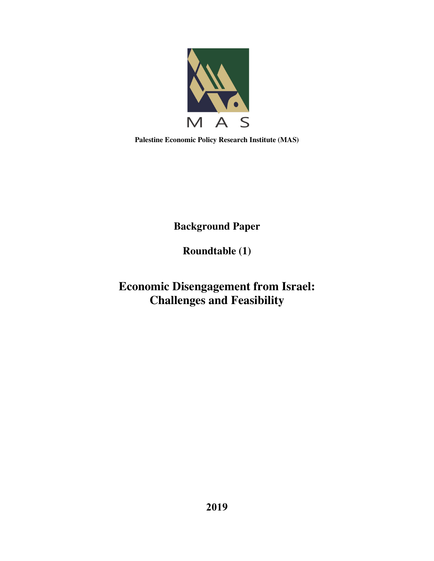

**Palestine Economic Policy Research Institute (MAS)** 

**Background Paper** 

**Roundtable (1)** 

**Economic Disengagement from Israel: Challenges and Feasibility**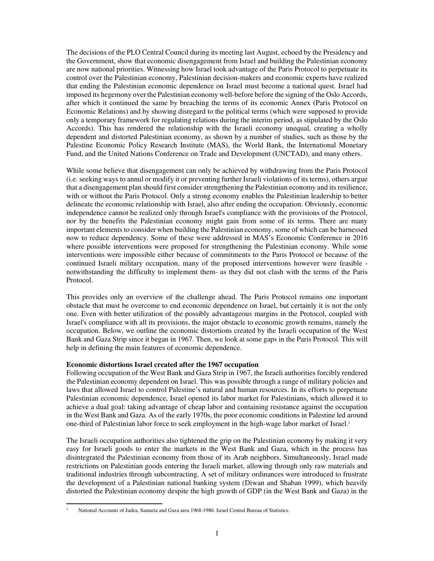The decisions of the PLO Central Council during its meeting last August, echoed by the Presidency and the Government, show that economic disengagement from Israel and building the Palestinian economy are now national priorities. Witnessing how Israel took advantage of the Paris Protocol to perpetuate its control over the Palestinian economy, Palestinian decision-makers and economic experts have realized that ending the Palestinian economic dependence on Israel must become a national quest. Israel had imposed its hegemony over the Palestinian economy well-before before the signing of the Oslo Accords, after which it continued the same by breaching the terms of its economic Annex (Paris Protocol on Economic Relations) and by showing disregard to the political terms (which were supposed to provide only a temporary framework for regulating relations during the interim period, as stipulated by the Oslo Accords). This has rendered the relationship with the Israeli economy unequal, creating a wholly dependent and distorted Palestinian economy, as shown by a number of studies, such as those by the Palestine Economic Policy Research Institute (MAS), the World Bank, the International Monetary Fund, and the United Nations Conference on Trade and Development (UNCTAD), and many others.

While some believe that disengagement can only be achieved by withdrawing from the Paris Protocol (i.e. seeking ways to annul or modify it or preventing further Israeli violations of its terms), others argue that a disengagement plan should first consider strengthening the Palestinian economy and its resilience, with or without the Paris Protocol. Only a strong economy enables the Palestinian leadership to better delineate the economic relationship with Israel, also after ending the occupation. Obviously, economic independence cannot be realized only through Israel's compliance with the provisions of the Protocol, nor by the benefits the Palestinian economy might gain from some of its terms. There are many important elements to consider when building the Palestinian economy, some of which can be harnessed now to reduce dependency. Some of these were addressed in MAS's Economic Conference in 2016 where possible interventions were proposed for strengthening the Palestinian economy. While some interventions were impossible either because of commitments to the Paris Protocol or because of the continued Israeli military occupation, many of the proposed interventions however were feasible notwithstanding the difficulty to implement them- as they did not clash with the terms of the Paris Protocol.

This provides only an overview of the challenge ahead. The Paris Protocol remains one important obstacle that must be overcome to end economic dependence on Israel, but certainly it is not the only one. Even with better utilization of the possibly advantageous margins in the Protocol, coupled with Israel's compliance with all its provisions, the major obstacle to economic growth remains, namely the occupation. Below, we outline the economic distortions created by the Israeli occupation of the West Bank and Gaza Strip since it began in 1967. Then, we look at some gaps in the Paris Protocol. This will help in defining the main features of economic dependence.

## **Economic distortions Israel created after the 1967 occupation**

Following occupation of the West Bank and Gaza Strip in 1967, the Israeli authorities forcibly rendered the Palestinian economy dependent on Israel. This was possible through a range of military policies and laws that allowed Israel to control Palestine's natural and human resources. In its efforts to perpetuate Palestinian economic dependence, Israel opened its labor market for Palestinians, which allowed it to achieve a dual goal: taking advantage of cheap labor and containing resistance against the occupation in the West Bank and Gaza. As of the early 1970s, the poor economic conditions in Palestine led around one-third of Palestinian labor force to seek employment in the high-wage labor market of Israel.<sup>1</sup>

The Israeli occupation authorities also tightened the grip on the Palestinian economy by making it very easy for Israeli goods to enter the markets in the West Bank and Gaza, which in the process has disintegrated the Palestinian economy from those of its Arab neighbors. Simultaneously, Israel made restrictions on Palestinian goods entering the Israeli market, allowing through only raw materials and traditional industries through subcontracting. A set of military ordinances were introduced to frustrate the development of a Palestinian national banking system (Diwan and Shaban 1999), which heavily distorted the Palestinian economy despite the high growth of GDP (in the West Bank and Gaza) in the

 $\overline{a}$ 

<sup>1</sup> National Accounts of Judea, Samaria and Gaza area 1968-1986. Israel Central Bureau of Statistics.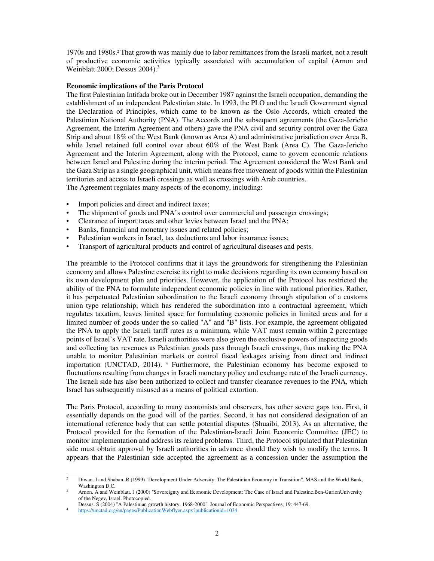1970s and 1980s.<sup>2</sup> That growth was mainly due to labor remittances from the Israeli market, not a result of productive economic activities typically associated with accumulation of capital (Arnon and Weinblatt 2000; Dessus  $2004$ ).<sup>3</sup>

## **Economic implications of the Paris Protocol**

The first Palestinian Intifada broke out in December 1987 against the Israeli occupation, demanding the establishment of an independent Palestinian state. In 1993, the PLO and the Israeli Government signed the Declaration of Principles, which came to be known as the Oslo Accords, which created the Palestinian National Authority (PNA). The Accords and the subsequent agreements (the Gaza-Jericho Agreement, the Interim Agreement and others) gave the PNA civil and security control over the Gaza Strip and about 18% of the West Bank (known as Area A) and administrative jurisdiction over Area B, while Israel retained full control over about 60% of the West Bank (Area C). The Gaza-Jericho Agreement and the Interim Agreement, along with the Protocol, came to govern economic relations between Israel and Palestine during the interim period. The Agreement considered the West Bank and the Gaza Strip as a single geographical unit, which means free movement of goods within the Palestinian territories and access to Israeli crossings as well as crossings with Arab countries. The Agreement regulates many aspects of the economy, including:

- Import policies and direct and indirect taxes;
- The shipment of goods and PNA's control over commercial and passenger crossings;
- Clearance of import taxes and other levies between Israel and the PNA;
- Banks, financial and monetary issues and related policies;
- Palestinian workers in Israel, tax deductions and labor insurance issues;
- Transport of agricultural products and control of agricultural diseases and pests.

The preamble to the Protocol confirms that it lays the groundwork for strengthening the Palestinian economy and allows Palestine exercise its right to make decisions regarding its own economy based on its own development plan and priorities. However, the application of the Protocol has restricted the ability of the PNA to formulate independent economic policies in line with national priorities. Rather, it has perpetuated Palestinian subordination to the Israeli economy through stipulation of a customs union type relationship, which has rendered the subordination into a contractual agreement, which regulates taxation, leaves limited space for formulating economic policies in limited areas and for a limited number of goods under the so-called "A" and "B" lists. For example, the agreement obligated the PNA to apply the Israeli tariff rates as a minimum, while VAT must remain within 2 percentage points of Israel's VAT rate. Israeli authorities were also given the exclusive powers of inspecting goods and collecting tax revenues as Palestinian goods pass through Israeli crossings, thus making the PNA unable to monitor Palestinian markets or control fiscal leakages arising from direct and indirect importation (UNCTAD, 2014). <sup>4</sup> Furthermore, the Palestinian economy has become exposed to fluctuations resulting from changes in Israeli monetary policy and exchange rate of the Israeli currency. The Israeli side has also been authorized to collect and transfer clearance revenues to the PNA, which Israel has subsequently misused as a means of political extortion.

The Paris Protocol, according to many economists and observers, has other severe gaps too. First, it essentially depends on the good will of the parties. Second, it has not considered designation of an international reference body that can settle potential disputes (Shuaibi, 2013). As an alternative, the Protocol provided for the formation of the Palestinian-Israeli Joint Economic Committee (JEC) to monitor implementation and address its related problems. Third, the Protocol stipulated that Palestinian side must obtain approval by Israeli authorities in advance should they wish to modify the terms. It appears that the Palestinian side accepted the agreement as a concession under the assumption the

 $\overline{a}$ 

Diwan. I and Shaban. R (1999) "Development Under Adversity: The Palestinian Economy in Transition". MAS and the World Bank, Washington D.C.

<sup>3</sup> Arnon. A and Weinblatt. J (2000) "Sovereignty and Economic Development: The Case of Israel and Palestine.Ben-GurionUniversity of the Negev, Israel. Photocopied.

Dessus. S (2004) "A Palestinian growth history, 1968-2000". Journal of Economic Perspectives, 19: 447-69.

<sup>4</sup> https://unctad.org/en/pages/PublicationWebflyer.aspx?publicationid=1034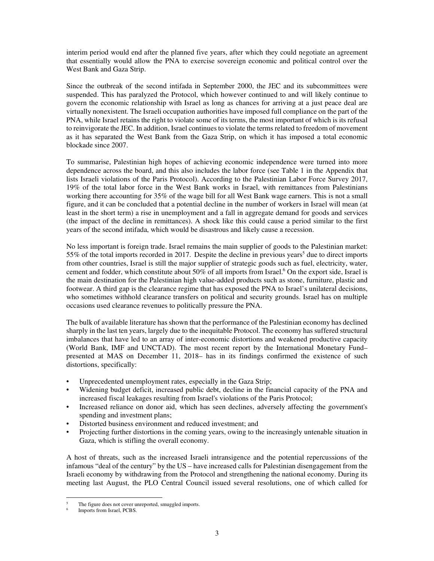interim period would end after the planned five years, after which they could negotiate an agreement that essentially would allow the PNA to exercise sovereign economic and political control over the West Bank and Gaza Strip.

Since the outbreak of the second intifada in September 2000, the JEC and its subcommittees were suspended. This has paralyzed the Protocol, which however continued to and will likely continue to govern the economic relationship with Israel as long as chances for arriving at a just peace deal are virtually nonexistent. The Israeli occupation authorities have imposed full compliance on the part of the PNA, while Israel retains the right to violate some of its terms, the most important of which is its refusal to reinvigorate the JEC. In addition, Israel continues to violate the terms related to freedom of movement as it has separated the West Bank from the Gaza Strip, on which it has imposed a total economic blockade since 2007.

To summarise, Palestinian high hopes of achieving economic independence were turned into more dependence across the board, and this also includes the labor force (see Table 1 in the Appendix that lists Israeli violations of the Paris Protocol). According to the Palestinian Labor Force Survey 2017, 19% of the total labor force in the West Bank works in Israel, with remittances from Palestinians working there accounting for 35% of the wage bill for all West Bank wage earners. This is not a small figure, and it can be concluded that a potential decline in the number of workers in Israel will mean (at least in the short term) a rise in unemployment and a fall in aggregate demand for goods and services (the impact of the decline in remittances). A shock like this could cause a period similar to the first years of the second intifada, which would be disastrous and likely cause a recession.

No less important is foreign trade. Israel remains the main supplier of goods to the Palestinian market: 55% of the total imports recorded in 2017. Despite the decline in previous years<sup>5</sup> due to direct imports from other countries, Israel is still the major supplier of strategic goods such as fuel, electricity, water, cement and fodder, which constitute about 50% of all imports from Israel.<sup>6</sup> On the export side, Israel is the main destination for the Palestinian high value-added products such as stone, furniture, plastic and footwear. A third gap is the clearance regime that has exposed the PNA to Israel's unilateral decisions, who sometimes withhold clearance transfers on political and security grounds. Israel has on multiple occasions used clearance revenues to politically pressure the PNA.

The bulk of available literature has shown that the performance of the Palestinian economy has declined sharply in the last ten years, largely due to the inequitable Protocol. The economy has suffered structural imbalances that have led to an array of inter-economic distortions and weakened productive capacity (World Bank, IMF and UNCTAD). The most recent report by the International Monetary Fund– presented at MAS on December 11, 2018– has in its findings confirmed the existence of such distortions, specifically:

- Unprecedented unemployment rates, especially in the Gaza Strip;
- Widening budget deficit, increased public debt, decline in the financial capacity of the PNA and increased fiscal leakages resulting from Israel's violations of the Paris Protocol;
- Increased reliance on donor aid, which has seen declines, adversely affecting the government's spending and investment plans;
- Distorted business environment and reduced investment; and
- Projecting further distortions in the coming years, owing to the increasingly untenable situation in Gaza, which is stifling the overall economy.

A host of threats, such as the increased Israeli intransigence and the potential repercussions of the infamous "deal of the century" by the US – have increased calls for Palestinian disengagement from the Israeli economy by withdrawing from the Protocol and strengthening the national economy. During its meeting last August, the PLO Central Council issued several resolutions, one of which called for

 $\overline{a}$ 

<sup>5</sup> The figure does not cover unreported, smuggled imports.

<sup>6</sup> Imports from Israel, PCBS.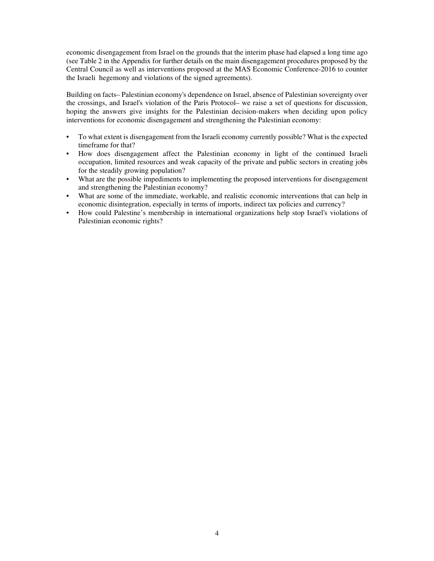economic disengagement from Israel on the grounds that the interim phase had elapsed a long time ago (see Table 2 in the Appendix for further details on the main disengagement procedures proposed by the Central Council as well as interventions proposed at the MAS Economic Conference-2016 to counter the Israeli hegemony and violations of the signed agreements).

Building on facts– Palestinian economy's dependence on Israel, absence of Palestinian sovereignty over the crossings, and Israel's violation of the Paris Protocol– we raise a set of questions for discussion, hoping the answers give insights for the Palestinian decision-makers when deciding upon policy interventions for economic disengagement and strengthening the Palestinian economy:

- To what extent is disengagement from the Israeli economy currently possible? What is the expected timeframe for that?
- How does disengagement affect the Palestinian economy in light of the continued Israeli occupation, limited resources and weak capacity of the private and public sectors in creating jobs for the steadily growing population?
- What are the possible impediments to implementing the proposed interventions for disengagement and strengthening the Palestinian economy?
- What are some of the immediate, workable, and realistic economic interventions that can help in economic disintegration, especially in terms of imports, indirect tax policies and currency?
- How could Palestine's membership in international organizations help stop Israel's violations of Palestinian economic rights?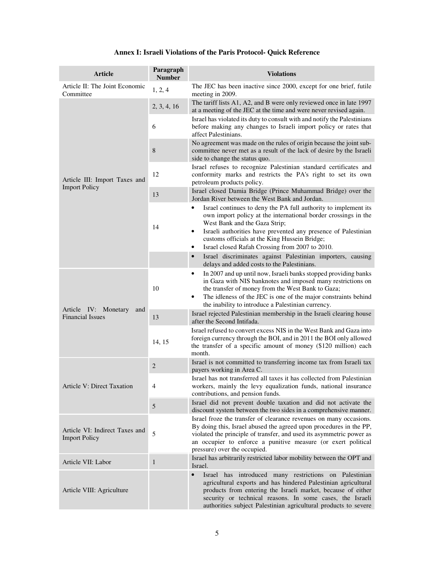|  |  | Annex I: Israeli Violations of the Paris Protocol- Quick Reference |
|--|--|--------------------------------------------------------------------|
|--|--|--------------------------------------------------------------------|

| <b>Article</b>                                         | Paragraph<br><b>Number</b> | <b>Violations</b>                                                                                                                                                                                                                                                                                                                                               |
|--------------------------------------------------------|----------------------------|-----------------------------------------------------------------------------------------------------------------------------------------------------------------------------------------------------------------------------------------------------------------------------------------------------------------------------------------------------------------|
| Article II: The Joint Economic<br>Committee            | 1, 2, 4                    | The JEC has been inactive since 2000, except for one brief, futile<br>meeting in 2009.                                                                                                                                                                                                                                                                          |
| Article III: Import Taxes and<br><b>Import Policy</b>  | 2, 3, 4, 16                | The tariff lists A1, A2, and B were only reviewed once in late 1997<br>at a meeting of the JEC at the time and were never revised again.                                                                                                                                                                                                                        |
|                                                        | 6                          | Israel has violated its duty to consult with and notify the Palestinians<br>before making any changes to Israeli import policy or rates that<br>affect Palestinians.                                                                                                                                                                                            |
|                                                        | 8                          | No agreement was made on the rules of origin because the joint sub-<br>committee never met as a result of the lack of desire by the Israeli<br>side to change the status quo.                                                                                                                                                                                   |
|                                                        | 12                         | Israel refuses to recognize Palestinian standard certificates and<br>conformity marks and restricts the PA's right to set its own<br>petroleum products policy.                                                                                                                                                                                                 |
|                                                        | 13                         | Israel closed Damia Bridge (Prince Muhammad Bridge) over the<br>Jordan River between the West Bank and Jordan.                                                                                                                                                                                                                                                  |
|                                                        | 14                         | Israel continues to deny the PA full authority to implement its<br>٠<br>own import policy at the international border crossings in the<br>West Bank and the Gaza Strip;<br>Israeli authorities have prevented any presence of Palestinian<br>٠<br>customs officials at the King Hussein Bridge;<br>Israel closed Rafah Crossing from 2007 to 2010.<br>$\bullet$ |
|                                                        |                            | Israel discriminates against Palestinian importers, causing<br>$\bullet$<br>delays and added costs to the Palestinians.                                                                                                                                                                                                                                         |
| Article IV: Monetary<br>and<br><b>Financial Issues</b> | 10                         | In 2007 and up until now, Israeli banks stopped providing banks<br>٠<br>in Gaza with NIS banknotes and imposed many restrictions on<br>the transfer of money from the West Bank to Gaza;<br>The idleness of the JEC is one of the major constraints behind<br>$\bullet$<br>the inability to introduce a Palestinian currency.                                   |
|                                                        | 13                         | Israel rejected Palestinian membership in the Israeli clearing house<br>after the Second Intifada.                                                                                                                                                                                                                                                              |
|                                                        | 14, 15                     | Israel refused to convert excess NIS in the West Bank and Gaza into<br>foreign currency through the BOI, and in 2011 the BOI only allowed<br>the transfer of a specific amount of money (\$120 million) each<br>month.                                                                                                                                          |
| <b>Article V: Direct Taxation</b>                      | 2                          | Israel is not committed to transferring income tax from Israeli tax<br>payers working in Area C.                                                                                                                                                                                                                                                                |
|                                                        | 4                          | Israel has not transferred all taxes it has collected from Palestinian<br>workers, mainly the levy equalization funds, national insurance<br>contributions, and pension funds.                                                                                                                                                                                  |
|                                                        | $\mathfrak{S}$             | Israel did not prevent double taxation and did not activate the<br>discount system between the two sides in a comprehensive manner.                                                                                                                                                                                                                             |
| Article VI: Indirect Taxes and<br><b>Import Policy</b> | 5                          | Israel froze the transfer of clearance revenues on many occasions.<br>By doing this, Israel abused the agreed upon procedures in the PP,<br>violated the principle of transfer, and used its asymmetric power as<br>an occupier to enforce a punitive measure (or exert political<br>pressure) over the occupied.                                               |
| Article VII: Labor                                     | $\mathbf{1}$               | Israel has arbitrarily restricted labor mobility between the OPT and<br>Israel.                                                                                                                                                                                                                                                                                 |
| Article VIII: Agriculture                              |                            | Israel has introduced many restrictions on Palestinian<br>$\bullet$<br>agricultural exports and has hindered Palestinian agricultural<br>products from entering the Israeli market, because of either<br>security or technical reasons. In some cases, the Israeli<br>authorities subject Palestinian agricultural products to severe                           |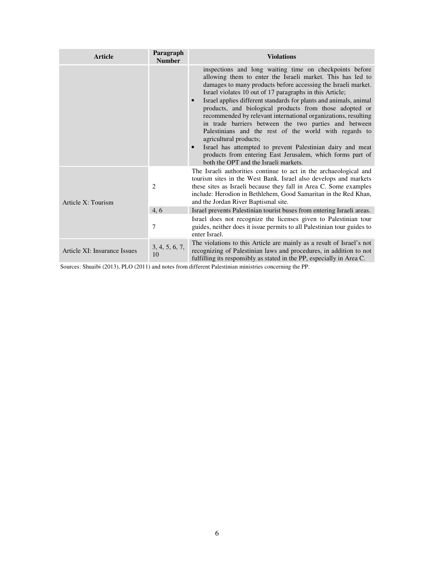| <b>Article</b>               | Paragraph<br><b>Number</b> | <b>Violations</b>                                                                                                                                                                                                                                                                                                                                                                                                                                                                                                                                                                                                                                                                                                                                                                   |
|------------------------------|----------------------------|-------------------------------------------------------------------------------------------------------------------------------------------------------------------------------------------------------------------------------------------------------------------------------------------------------------------------------------------------------------------------------------------------------------------------------------------------------------------------------------------------------------------------------------------------------------------------------------------------------------------------------------------------------------------------------------------------------------------------------------------------------------------------------------|
|                              |                            | inspections and long waiting time on checkpoints before<br>allowing them to enter the Israeli market. This has led to<br>damages to many products before accessing the Israeli market.<br>Israel violates 10 out of 17 paragraphs in this Article;<br>Israel applies different standards for plants and animals, animal<br>$\bullet$<br>products, and biological products from those adopted or<br>recommended by relevant international organizations, resulting<br>in trade barriers between the two parties and between<br>Palestinians and the rest of the world with regards to<br>agricultural products;<br>Israel has attempted to prevent Palestinian dairy and meat<br>products from entering East Jerusalem, which forms part of<br>both the OPT and the Israeli markets. |
| Article X: Tourism           | $\overline{2}$             | The Israeli authorities continue to act in the archaeological and<br>tourism sites in the West Bank. Israel also develops and markets<br>these sites as Israeli because they fall in Area C. Some examples<br>include: Herodion in Bethlehem, Good Samaritan in the Red Khan,<br>and the Jordan River Baptismal site.                                                                                                                                                                                                                                                                                                                                                                                                                                                               |
|                              | 4, 6                       | Israel prevents Palestinian tourist buses from entering Israeli areas.                                                                                                                                                                                                                                                                                                                                                                                                                                                                                                                                                                                                                                                                                                              |
|                              | 7                          | Israel does not recognize the licenses given to Palestinian tour<br>guides, neither does it issue permits to all Palestinian tour guides to<br>enter Israel.                                                                                                                                                                                                                                                                                                                                                                                                                                                                                                                                                                                                                        |
| Article XI: Insurance Issues | 3, 4, 5, 6, 7,<br>10       | The violations to this Article are mainly as a result of Israel's not<br>recognizing of Palestinian laws and procedures, in addition to not<br>fulfilling its responsibly as stated in the PP, especially in Area C.                                                                                                                                                                                                                                                                                                                                                                                                                                                                                                                                                                |

Sources: Shuaibi (2013), PLO (2011) and notes from different Palestinian ministries concerning the PP.